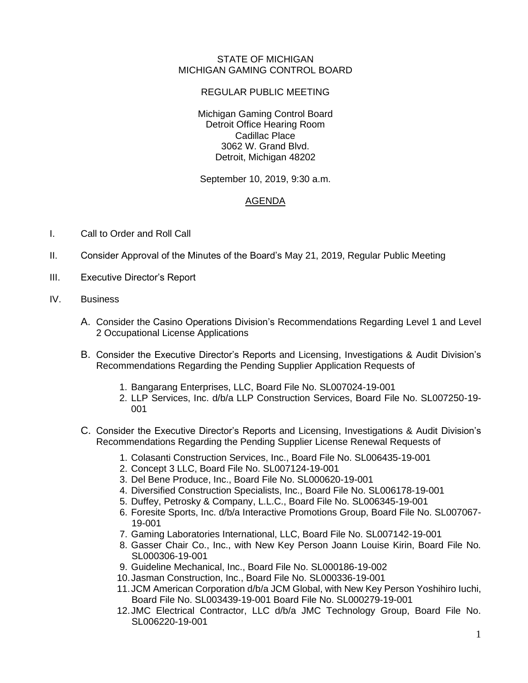## STATE OF MICHIGAN MICHIGAN GAMING CONTROL BOARD

## REGULAR PUBLIC MEETING

Michigan Gaming Control Board Detroit Office Hearing Room Cadillac Place 3062 W. Grand Blvd. Detroit, Michigan 48202

September 10, 2019, 9:30 a.m.

## AGENDA

- I. Call to Order and Roll Call
- II. Consider Approval of the Minutes of the Board's May 21, 2019, Regular Public Meeting
- III. Executive Director's Report
- IV. Business
	- A. Consider the Casino Operations Division's Recommendations Regarding Level 1 and Level 2 Occupational License Applications
	- B. Consider the Executive Director's Reports and Licensing, Investigations & Audit Division's Recommendations Regarding the Pending Supplier Application Requests of
		- 1. Bangarang Enterprises, LLC, Board File No. SL007024-19-001
		- 2. LLP Services, Inc. d/b/a LLP Construction Services, Board File No. SL007250-19- 001
	- C. Consider the Executive Director's Reports and Licensing, Investigations & Audit Division's Recommendations Regarding the Pending Supplier License Renewal Requests of
		- 1. Colasanti Construction Services, Inc., Board File No. SL006435-19-001
		- 2. Concept 3 LLC, Board File No. SL007124-19-001
		- 3. Del Bene Produce, Inc., Board File No. SL000620-19-001
		- 4. Diversified Construction Specialists, Inc., Board File No. SL006178-19-001
		- 5. Duffey, Petrosky & Company, L.L.C., Board File No. SL006345-19-001
		- 6. Foresite Sports, Inc. d/b/a Interactive Promotions Group, Board File No. SL007067- 19-001
		- 7. Gaming Laboratories International, LLC, Board File No. SL007142-19-001
		- 8. Gasser Chair Co., Inc., with New Key Person Joann Louise Kirin, Board File No. SL000306-19-001
		- 9. Guideline Mechanical, Inc., Board File No. SL000186-19-002
		- 10.Jasman Construction, Inc., Board File No. SL000336-19-001
		- 11.JCM American Corporation d/b/a JCM Global, with New Key Person Yoshihiro Iuchi, Board File No. SL003439-19-001 Board File No. SL000279-19-001
		- 12.JMC Electrical Contractor, LLC d/b/a JMC Technology Group, Board File No. SL006220-19-001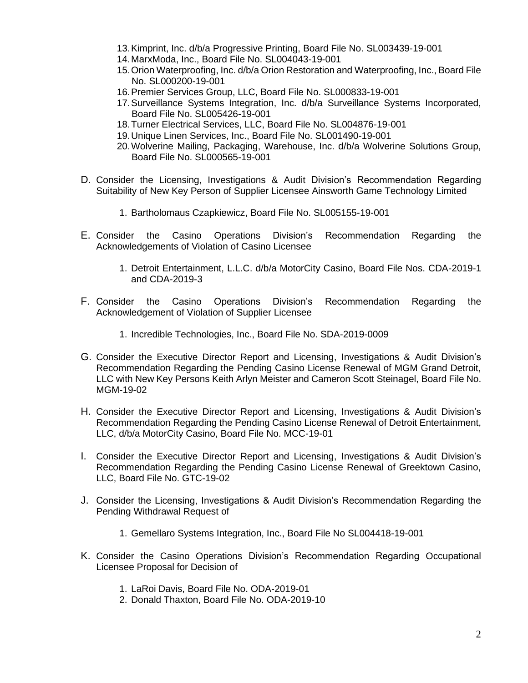- 13.Kimprint, Inc. d/b/a Progressive Printing, Board File No. SL003439-19-001
- 14.MarxModa, Inc., Board File No. SL004043-19-001
- 15.Orion Waterproofing, Inc. d/b/a Orion Restoration and Waterproofing, Inc., Board File No. SL000200-19-001
- 16.Premier Services Group, LLC, Board File No. SL000833-19-001
- 17.Surveillance Systems Integration, Inc. d/b/a Surveillance Systems Incorporated, Board File No. SL005426-19-001
- 18.Turner Electrical Services, LLC, Board File No. SL004876-19-001
- 19.Unique Linen Services, Inc., Board File No. SL001490-19-001
- 20.Wolverine Mailing, Packaging, Warehouse, Inc. d/b/a Wolverine Solutions Group, Board File No. SL000565-19-001
- D. Consider the Licensing, Investigations & Audit Division's Recommendation Regarding Suitability of New Key Person of Supplier Licensee Ainsworth Game Technology Limited
	- 1. Bartholomaus Czapkiewicz, Board File No. SL005155-19-001
- E. Consider the Casino Operations Division's Recommendation Regarding the Acknowledgements of Violation of Casino Licensee
	- 1. Detroit Entertainment, L.L.C. d/b/a MotorCity Casino, Board File Nos. CDA-2019-1 and CDA-2019-3
- F. Consider the Casino Operations Division's Recommendation Regarding the Acknowledgement of Violation of Supplier Licensee
	- 1. Incredible Technologies, Inc., Board File No. SDA-2019-0009
- G. Consider the Executive Director Report and Licensing, Investigations & Audit Division's Recommendation Regarding the Pending Casino License Renewal of MGM Grand Detroit, LLC with New Key Persons Keith Arlyn Meister and Cameron Scott Steinagel, Board File No. MGM-19-02
- H. Consider the Executive Director Report and Licensing, Investigations & Audit Division's Recommendation Regarding the Pending Casino License Renewal of Detroit Entertainment, LLC, d/b/a MotorCity Casino, Board File No. MCC-19-01
- I. Consider the Executive Director Report and Licensing, Investigations & Audit Division's Recommendation Regarding the Pending Casino License Renewal of Greektown Casino, LLC, Board File No. GTC-19-02
- J. Consider the Licensing, Investigations & Audit Division's Recommendation Regarding the Pending Withdrawal Request of
	- 1. Gemellaro Systems Integration, Inc., Board File No SL004418-19-001
- K. Consider the Casino Operations Division's Recommendation Regarding Occupational Licensee Proposal for Decision of
	- 1. LaRoi Davis, Board File No. ODA-2019-01
	- 2. Donald Thaxton, Board File No. ODA-2019-10